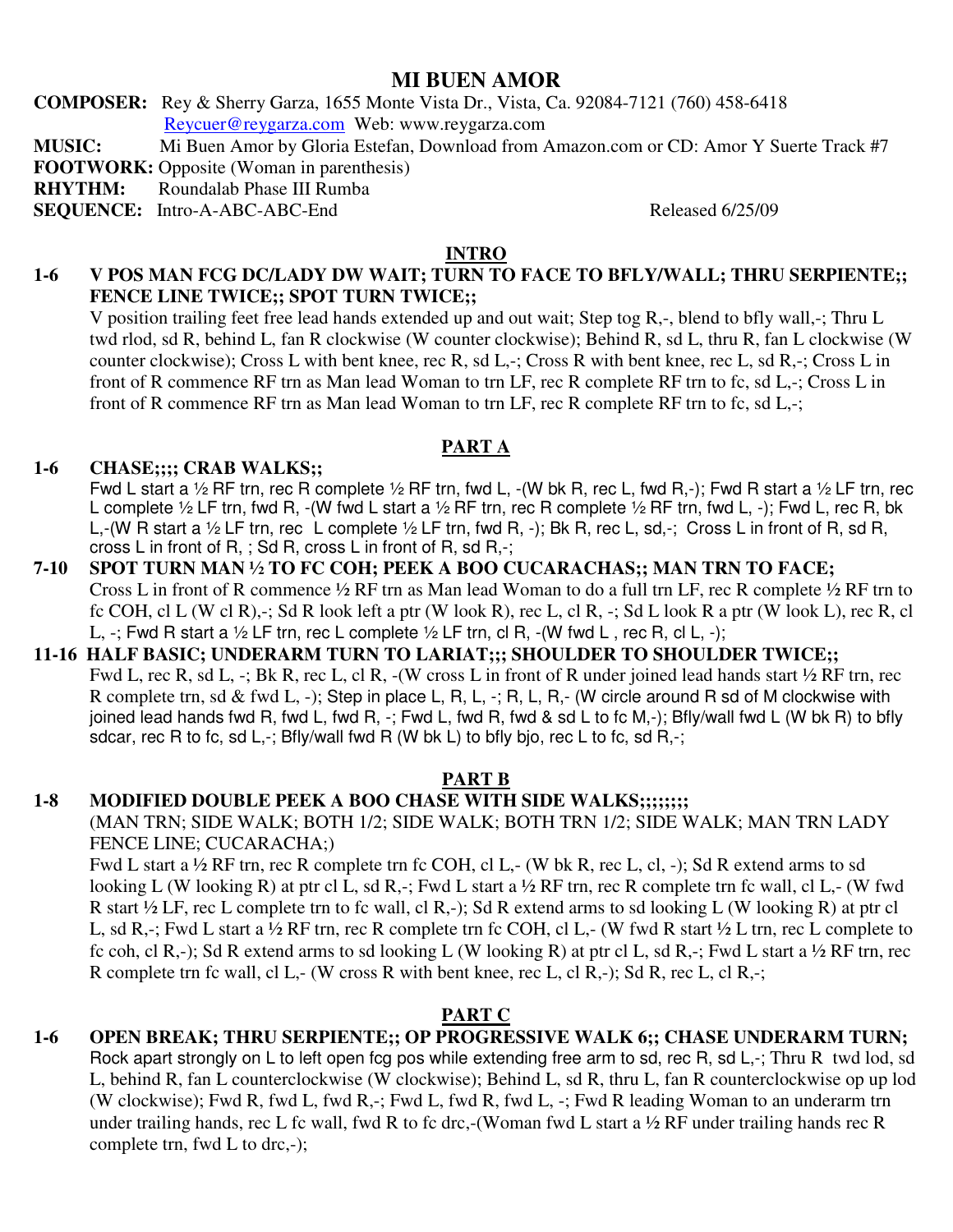# **MI BUEN AMOR**

**COMPOSER:** Rey & Sherry Garza, 1655 Monte Vista Dr., Vista, Ca. 92084-7121 (760) 458-6418 Reycuer@reygarza.com Web: www.reygarza.com

**MUSIC:** Mi Buen Amor by Gloria Estefan, Download from Amazon.com or CD: Amor Y Suerte Track #7

**FOOTWORK:** Opposite (Woman in parenthesis)

**RHYTHM:** Roundalab Phase III Rumba

**SEQUENCE:** Intro-A-ABC-ABC-End Released 6/25/09

#### **INTRO**

#### **1-6 V POS MAN FCG DC/LADY DW WAIT; TURN TO FACE TO BFLY/WALL; THRU SERPIENTE;; FENCE LINE TWICE;; SPOT TURN TWICE;;**

V position trailing feet free lead hands extended up and out wait; Step tog R,-, blend to bfly wall,-; Thru L twd rlod, sd R, behind L, fan R clockwise (W counter clockwise); Behind R, sd L, thru R, fan L clockwise (W counter clockwise); Cross L with bent knee, rec R, sd L,-; Cross R with bent knee, rec L, sd R,-; Cross L in front of R commence RF trn as Man lead Woman to trn LF, rec R complete RF trn to fc, sd L,-; Cross L in front of R commence RF trn as Man lead Woman to trn LF, rec R complete RF trn to fc, sd L,-;

#### **PART A**

#### **1-6 CHASE;;;; CRAB WALKS;;**

Fwd L start a ½ RF trn, rec R complete ½ RF trn, fwd L, -(W bk R, rec L, fwd R,-); Fwd R start a ½ LF trn, rec L complete ½ LF trn, fwd R, -(W fwd L start a ½ RF trn, rec R complete ½ RF trn, fwd L, -); Fwd L, rec R, bk L,-(W R start a ½ LF trn, rec L complete ½ LF trn, fwd R, -); Bk R, rec L, sd,-; Cross L in front of R, sd R, cross L in front of R, ; Sd R, cross L in front of R, sd R,-;

#### **7-10 SPOT TURN MAN ½ TO FC COH; PEEK A BOO CUCARACHAS;; MAN TRN TO FACE;**  Cross L in front of R commence ½ RF trn as Man lead Woman to do a full trn LF, rec R complete ½ RF trn to fc COH, cl L (W cl R),-; Sd R look left a ptr (W look R), rec L, cl R, -; Sd L look R a ptr (W look L), rec R, cl L,  $-$ ; Fwd R start a  $\frac{1}{2}$  LF trn, rec L complete  $\frac{1}{2}$  LF trn, cl R,  $\frac{1}{2}$  (W fwd L, rec R, cl L,  $\frac{1}{2}$ );

#### **11-16 HALF BASIC; UNDERARM TURN TO LARIAT;;; SHOULDER TO SHOULDER TWICE;;**  Fwd L, rec R, sd L, -; Bk R, rec L, cl R, -(W cross L in front of R under joined lead hands start ½ RF trn, rec R complete trn, sd & fwd L, -); Step in place L, R, L, -; R, L, R,- (W circle around R sd of M clockwise with joined lead hands fwd R, fwd L, fwd R, -; Fwd L, fwd R, fwd & sd L to fc M,-); Bfly/wall fwd L (W bk R) to bfly sdcar, rec R to fc, sd L,-; Bfly/wall fwd R (W bk L) to bfly bjo, rec L to fc, sd R,-;

# **PART B**

# 1-8 MODIFIED DOUBLE PEEK A BOO CHASE WITH SIDE WALKS;;;;;;;;;

(MAN TRN; SIDE WALK; BOTH 1/2; SIDE WALK; BOTH TRN 1/2; SIDE WALK; MAN TRN LADY FENCE LINE; CUCARACHA;)

Fwd L start a ½ RF trn, rec R complete trn fc COH, cl L,- (W bk R, rec L, cl, -); Sd R extend arms to sd looking L (W looking R) at ptr cl L, sd R,-; Fwd L start a ½ RF trn, rec R complete trn fc wall, cl L,- (W fwd R start ½ LF, rec L complete trn to fc wall, cl R,-); Sd R extend arms to sd looking L (W looking R) at ptr cl L, sd R,-; Fwd L start a ½ RF trn, rec R complete trn fc COH, cl L,- (W fwd R start ½ L trn, rec L complete to fc coh, cl R,-); Sd R extend arms to sd looking L (W looking R) at ptr cl L, sd R,-; Fwd L start a ½ RF trn, rec R complete trn fc wall, cl L,- (W cross R with bent knee, rec L, cl R,-); Sd R, rec L, cl R,-;

# **PART C**

# **1-6 OPEN BREAK; THRU SERPIENTE;; OP PROGRESSIVE WALK 6;; CHASE UNDERARM TURN;**

Rock apart strongly on L to left open fcg pos while extending free arm to sd, rec R, sd L,-; Thru R twd lod, sd L, behind R, fan L counterclockwise (W clockwise); Behind L, sd R, thru L, fan R counterclockwise op up lod (W clockwise); Fwd R, fwd L, fwd R,-; Fwd L, fwd R, fwd L, -; Fwd R leading Woman to an underarm trn under trailing hands, rec L fc wall, fwd R to fc drc,-(Woman fwd L start a ½ RF under trailing hands rec R complete trn, fwd L to drc,-);